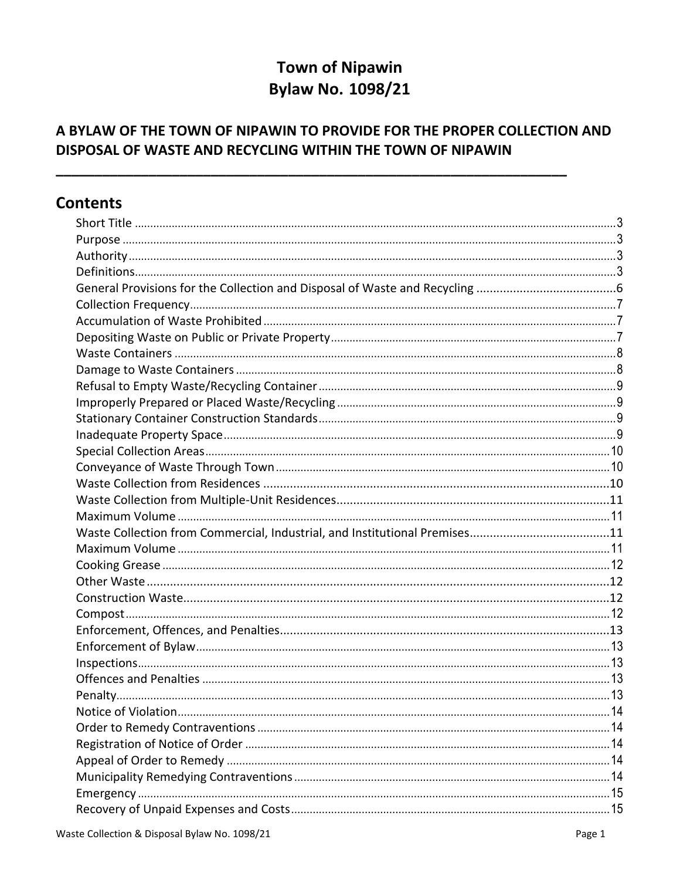# **Town of Nipawin Bylaw No. 1098/21**

# A BYLAW OF THE TOWN OF NIPAWIN TO PROVIDE FOR THE PROPER COLLECTION AND DISPOSAL OF WASTE AND RECYCLING WITHIN THE TOWN OF NIPAWIN

# **Contents**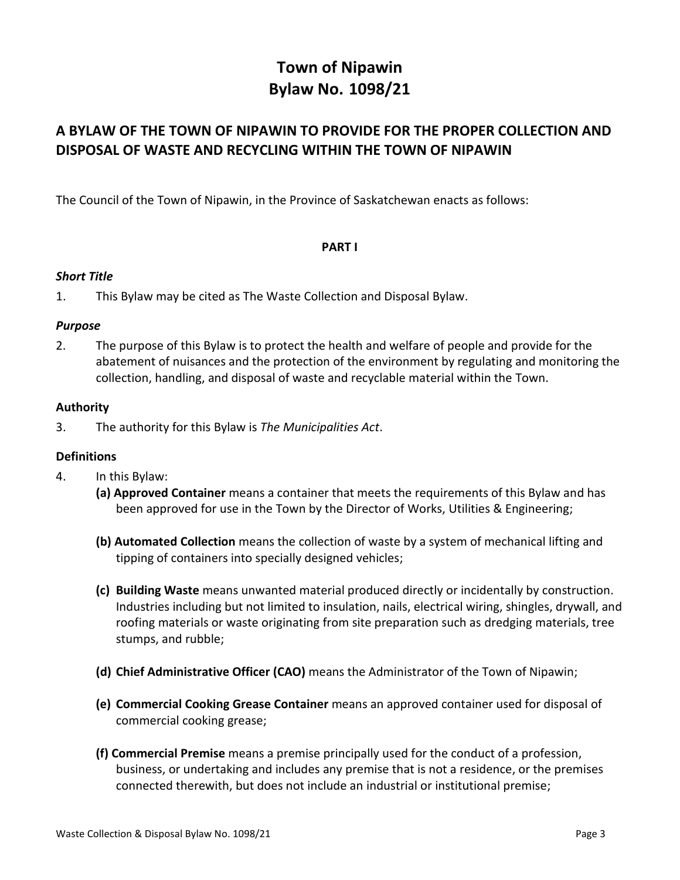# **Town of Nipawin Bylaw No. 1098/21**

# **A BYLAW OF THE TOWN OF NIPAWIN TO PROVIDE FOR THE PROPER COLLECTION AND DISPOSAL OF WASTE AND RECYCLING WITHIN THE TOWN OF NIPAWIN**

The Council of the Town of Nipawin, in the Province of Saskatchewan enacts as follows:

### **PART I**

#### <span id="page-2-0"></span>*Short Title*

<span id="page-2-1"></span>1. This Bylaw may be cited as The Waste Collection and Disposal Bylaw.

#### *Purpose*

2. The purpose of this Bylaw is to protect the health and welfare of people and provide for the abatement of nuisances and the protection of the environment by regulating and monitoring the collection, handling, and disposal of waste and recyclable material within the Town.

### <span id="page-2-2"></span>**Authority**

3. The authority for this Bylaw is *The Municipalities Act*.

# <span id="page-2-3"></span>**Definitions**

- 4. In this Bylaw:
	- **(a) Approved Container** means a container that meets the requirements of this Bylaw and has been approved for use in the Town by the Director of Works, Utilities & Engineering;
	- **(b) Automated Collection** means the collection of waste by a system of mechanical lifting and tipping of containers into specially designed vehicles;
	- **(c) Building Waste** means unwanted material produced directly or incidentally by [construction.](https://en.wikipedia.org/wiki/Construction) Industries including but not limited to [insulation,](https://en.wikipedia.org/wiki/Building_insulation) [nails,](https://en.wikipedia.org/wiki/Nail_(fastener)) [electrical wiring,](https://en.wikipedia.org/wiki/Electrical_wiring) [shingles](https://en.wikipedia.org/wiki/Roof_shingle), drywall, and [roofing](https://en.wikipedia.org/wiki/Roofing_material) materials or waste originating from site preparation such as [dredging](https://en.wikipedia.org/wiki/Dredging) materials, [tree](https://en.wikipedia.org/wiki/Tree_stump)  [stumps,](https://en.wikipedia.org/wiki/Tree_stump) and [rubble;](https://en.wikipedia.org/wiki/Rubble)
	- **(d) Chief Administrative Officer (CAO)** means the Administrator of the Town of Nipawin;
	- **(e) Commercial Cooking Grease Container** means an approved container used for disposal of commercial cooking grease;
	- **(f) Commercial Premise** means a premise principally used for the conduct of a profession, business, or undertaking and includes any premise that is not a residence, or the premises connected therewith, but does not include an industrial or institutional premise;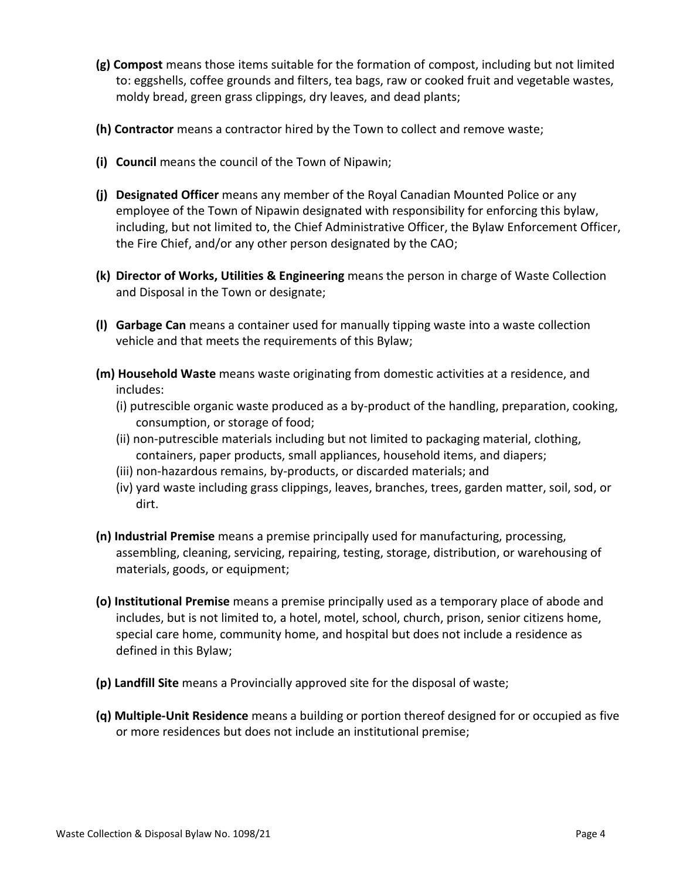- **(g) Compost** means those items suitable for the formation of compost, including but not limited to: eggshells, coffee grounds and filters, tea bags, raw or cooked fruit and vegetable wastes, moldy bread, green grass clippings, dry leaves, and dead plants;
- **(h) Contractor** means a contractor hired by the Town to collect and remove waste;
- **(i) Council** means the council of the Town of Nipawin;
- **(j) Designated Officer** means any member of the Royal Canadian Mounted Police or any employee of the Town of Nipawin designated with responsibility for enforcing this bylaw, including, but not limited to, the Chief Administrative Officer, the Bylaw Enforcement Officer, the Fire Chief, and/or any other person designated by the CAO;
- **(k) Director of Works, Utilities & Engineering** means the person in charge of Waste Collection and Disposal in the Town or designate;
- **(l) Garbage Can** means a container used for manually tipping waste into a waste collection vehicle and that meets the requirements of this Bylaw;
- **(m) Household Waste** means waste originating from domestic activities at a residence, and includes:
	- (i) putrescible organic waste produced as a by-product of the handling, preparation, cooking, consumption, or storage of food;
	- (ii) non-putrescible materials including but not limited to packaging material, clothing, containers, paper products, small appliances, household items, and diapers;
	- (iii) non-hazardous remains, by-products, or discarded materials; and
	- (iv) yard waste including grass clippings, leaves, branches, trees, garden matter, soil, sod, or dirt.
- **(n) Industrial Premise** means a premise principally used for manufacturing, processing, assembling, cleaning, servicing, repairing, testing, storage, distribution, or warehousing of materials, goods, or equipment;
- **(o) Institutional Premise** means a premise principally used as a temporary place of abode and includes, but is not limited to, a hotel, motel, school, church, prison, senior citizens home, special care home, community home, and hospital but does not include a residence as defined in this Bylaw;
- **(p) Landfill Site** means a Provincially approved site for the disposal of waste;
- **(q) Multiple-Unit Residence** means a building or portion thereof designed for or occupied as five or more residences but does not include an institutional premise;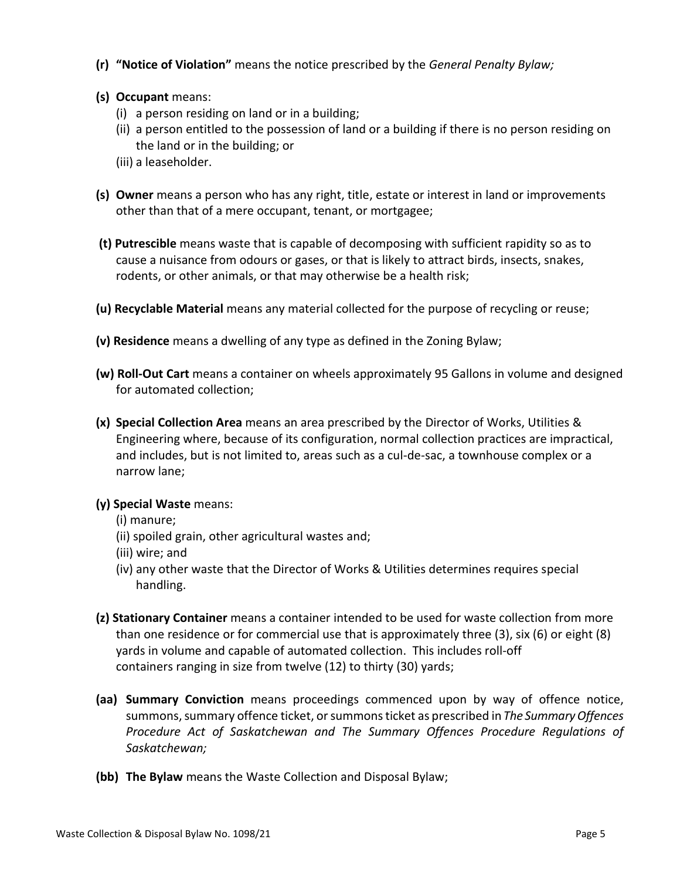- **(r) "Notice of Violation"** means the notice prescribed by the *General Penalty Bylaw;*
- **(s) Occupant** means:
	- (i) a person residing on land or in a building;
	- (ii) a person entitled to the possession of land or a building if there is no person residing on the land or in the building; or
	- (iii) a leaseholder.
- **(s) Owner** means a person who has any right, title, estate or interest in land or improvements other than that of a mere occupant, tenant, or mortgagee;
- **(t) Putrescible** means waste that is capable of decomposing with sufficient rapidity so as to cause a nuisance from odours or gases, or that is likely to attract birds, insects, snakes, rodents, or other animals, or that may otherwise be a health risk;
- **(u) Recyclable Material** means any material collected for the purpose of recycling or reuse;
- **(v) Residence** means a dwelling of any type as defined in the Zoning Bylaw;
- **(w) Roll-Out Cart** means a container on wheels approximately 95 Gallons in volume and designed for automated collection;
- **(x) Special Collection Area** means an area prescribed by the Director of Works, Utilities & Engineering where, because of its configuration, normal collection practices are impractical, and includes, but is not limited to, areas such as a cul-de-sac, a townhouse complex or a narrow lane;
- **(y) Special Waste** means:
	- (i) manure;
	- (ii) spoiled grain, other agricultural wastes and;
	- (iii) wire; and
	- (iv) any other waste that the Director of Works & Utilities determines requires special handling.
- **(z) Stationary Container** means a container intended to be used for waste collection from more than one residence or for commercial use that is approximately three (3), six (6) or eight (8) yards in volume and capable of automated collection. This includes roll-off containers ranging in size from twelve (12) to thirty (30) yards;
- **(aa) Summary Conviction** means proceedings commenced upon by way of offence notice, summons, summary offence ticket, or summonsticket as prescribed in *The Summary Offences Procedure Act of Saskatchewan and The Summary Offences Procedure Regulations of Saskatchewan;*
- **(bb) The Bylaw** means the Waste Collection and Disposal Bylaw;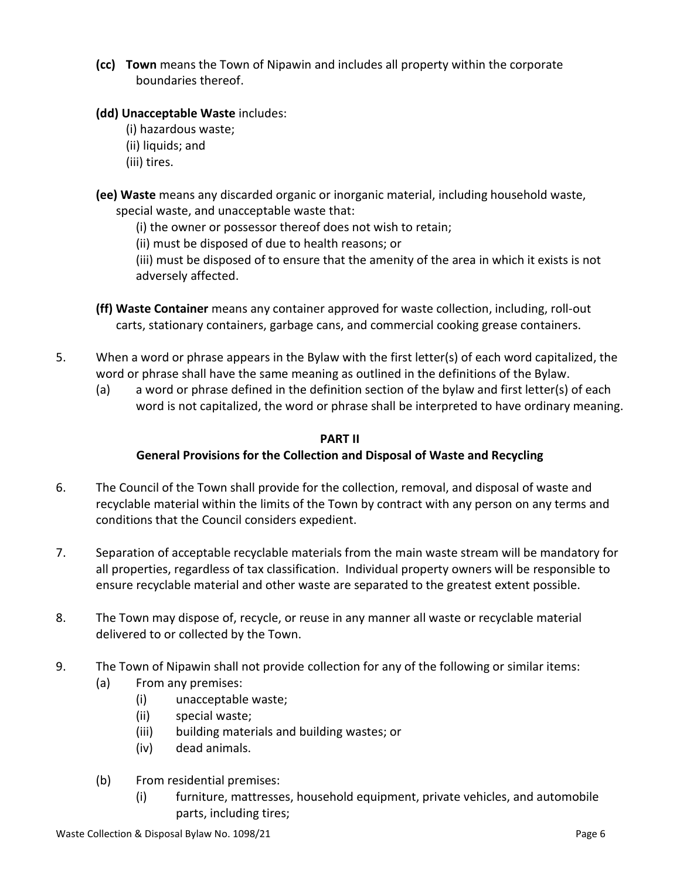**(cc) Town** means the Town of Nipawin and includes all property within the corporate boundaries thereof.

# **(dd) Unacceptable Waste** includes:

- (i) hazardous waste;
- (ii) liquids; and
- (iii) tires.
- **(ee) Waste** means any discarded organic or inorganic material, including household waste, special waste, and unacceptable waste that:
	- (i) the owner or possessor thereof does not wish to retain;
	- (ii) must be disposed of due to health reasons; or
	- (iii) must be disposed of to ensure that the amenity of the area in which it exists is not adversely affected.
- **(ff) Waste Container** means any container approved for waste collection, including, roll-out carts, stationary containers, garbage cans, and commercial cooking grease containers.
- 5. When a word or phrase appears in the Bylaw with the first letter(s) of each word capitalized, the word or phrase shall have the same meaning as outlined in the definitions of the Bylaw.
	- (a) a word or phrase defined in the definition section of the bylaw and first letter(s) of each word is not capitalized, the word or phrase shall be interpreted to have ordinary meaning.

### **PART II**

# **General Provisions for the Collection and Disposal of Waste and Recycling**

- <span id="page-5-0"></span>6. The Council of the Town shall provide for the collection, removal, and disposal of waste and recyclable material within the limits of the Town by contract with any person on any terms and conditions that the Council considers expedient.
- 7. Separation of acceptable recyclable materials from the main waste stream will be mandatory for all properties, regardless of tax classification. Individual property owners will be responsible to ensure recyclable material and other waste are separated to the greatest extent possible.
- 8. The Town may dispose of, recycle, or reuse in any manner all waste or recyclable material delivered to or collected by the Town.
- 9. The Town of Nipawin shall not provide collection for any of the following or similar items:
	- (a) From any premises:
		- (i) unacceptable waste;
		- (ii) special waste;
		- (iii) building materials and building wastes; or
		- (iv) dead animals.
	- (b) From residential premises:
		- (i) furniture, mattresses, household equipment, private vehicles, and automobile parts, including tires;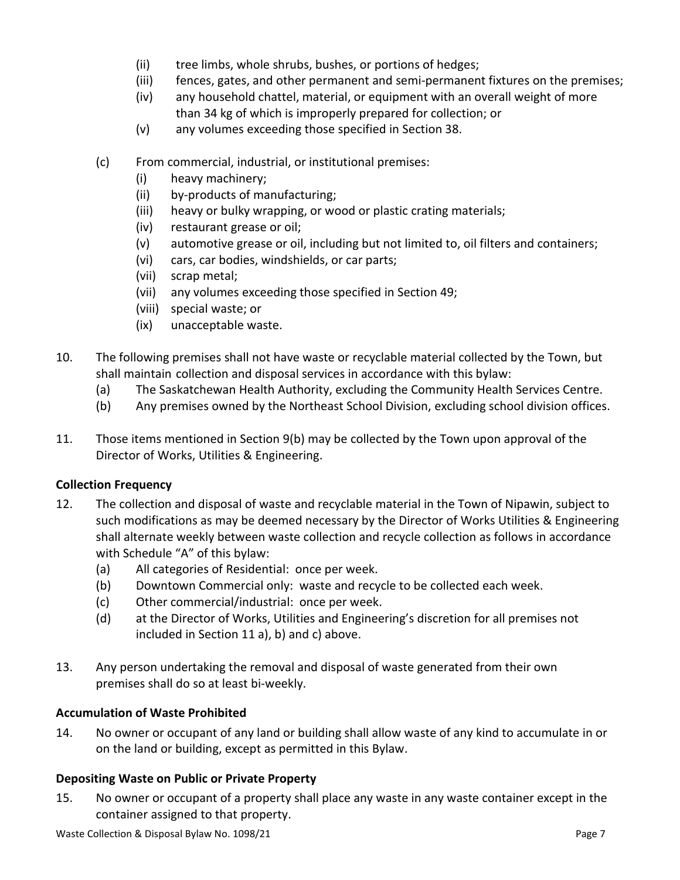- (ii) tree limbs, whole shrubs, bushes, or portions of hedges;
- (iii) fences, gates, and other permanent and semi-permanent fixtures on the premises;
- (iv) any household chattel, material, or equipment with an overall weight of more than 34 kg of which is improperly prepared for collection; or
- (v) any volumes exceeding those specified in Section 38.
- (c) From commercial, industrial, or institutional premises:
	- (i) heavy machinery;
	- (ii) by-products of manufacturing;
	- (iii) heavy or bulky wrapping, or wood or plastic crating materials;
	- (iv) restaurant grease or oil;
	- (v) automotive grease or oil, including but not limited to, oil filters and containers;
	- (vi) cars, car bodies, windshields, or car parts;
	- (vii) scrap metal;
	- (vii) any volumes exceeding those specified in Section 49;
	- (viii) special waste; or
	- (ix) unacceptable waste.
- 10. The following premises shall not have waste or recyclable material collected by the Town, but shall maintain collection and disposal services in accordance with this bylaw:
	- (a) The Saskatchewan Health Authority, excluding the Community Health Services Centre.
	- (b) Any premises owned by the Northeast School Division, excluding school division offices.
- 11. Those items mentioned in Section 9(b) may be collected by the Town upon approval of the Director of Works, Utilities & Engineering.

# <span id="page-6-0"></span>**Collection Frequency**

- 12. The collection and disposal of waste and recyclable material in the Town of Nipawin, subject to such modifications as may be deemed necessary by the Director of Works Utilities & Engineering shall alternate weekly between waste collection and recycle collection as follows in accordance with Schedule "A" of this bylaw:
	- (a) All categories of Residential: once per week.
	- (b) Downtown Commercial only: waste and recycle to be collected each week.
	- (c) Other commercial/industrial: once per week.
	- (d) at the Director of Works, Utilities and Engineering's discretion for all premises not included in Section 11 a), b) and c) above.
- 13. Any person undertaking the removal and disposal of waste generated from their own premises shall do so at least bi-weekly.

# <span id="page-6-1"></span>**Accumulation of Waste Prohibited**

14. No owner or occupant of any land or building shall allow waste of any kind to accumulate in or on the land or building, except as permitted in this Bylaw.

# <span id="page-6-2"></span>**Depositing Waste on Public or Private Property**

15. No owner or occupant of a property shall place any waste in any waste container except in the container assigned to that property.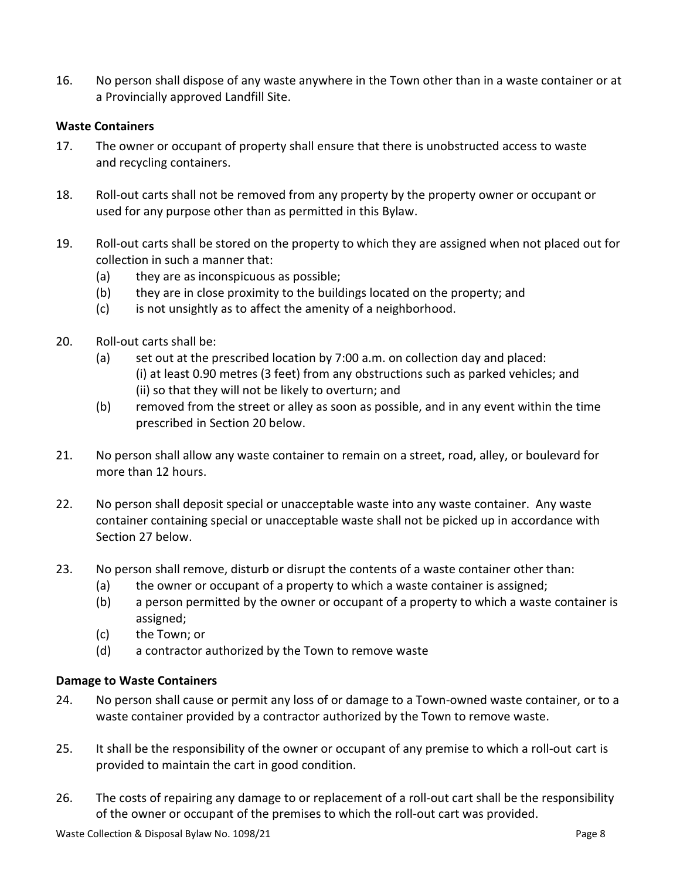16. No person shall dispose of any waste anywhere in the Town other than in a waste container or at a Provincially approved Landfill Site.

#### <span id="page-7-0"></span>**Waste Containers**

- 17. The owner or occupant of property shall ensure that there is unobstructed access to waste and recycling containers.
- 18. Roll-out carts shall not be removed from any property by the property owner or occupant or used for any purpose other than as permitted in this Bylaw.
- 19. Roll-out carts shall be stored on the property to which they are assigned when not placed out for collection in such a manner that:
	- (a) they are as inconspicuous as possible;
	- (b) they are in close proximity to the buildings located on the property; and
	- (c) is not unsightly as to affect the amenity of a neighborhood.
- 20. Roll-out carts shall be:
	- (a) set out at the prescribed location by 7:00 a.m. on collection day and placed: (i) at least 0.90 metres (3 feet) from any obstructions such as parked vehicles; and (ii) so that they will not be likely to overturn; and
	- (b) removed from the street or alley as soon as possible, and in any event within the time prescribed in Section 20 below.
- 21. No person shall allow any waste container to remain on a street, road, alley, or boulevard for more than 12 hours.
- 22. No person shall deposit special or unacceptable waste into any waste container. Any waste container containing special or unacceptable waste shall not be picked up in accordance with Section 27 below.
- 23. No person shall remove, disturb or disrupt the contents of a waste container other than:
	- (a) the owner or occupant of a property to which a waste container is assigned;
	- (b) a person permitted by the owner or occupant of a property to which a waste container is assigned;
	- (c) the Town; or
	- (d) a contractor authorized by the Town to remove waste

#### <span id="page-7-1"></span>**Damage to Waste Containers**

- 24. No person shall cause or permit any loss of or damage to a Town-owned waste container, or to a waste container provided by a contractor authorized by the Town to remove waste.
- 25. It shall be the responsibility of the owner or occupant of any premise to which a roll-out cart is provided to maintain the cart in good condition.
- 26. The costs of repairing any damage to or replacement of a roll-out cart shall be the responsibility of the owner or occupant of the premises to which the roll-out cart was provided.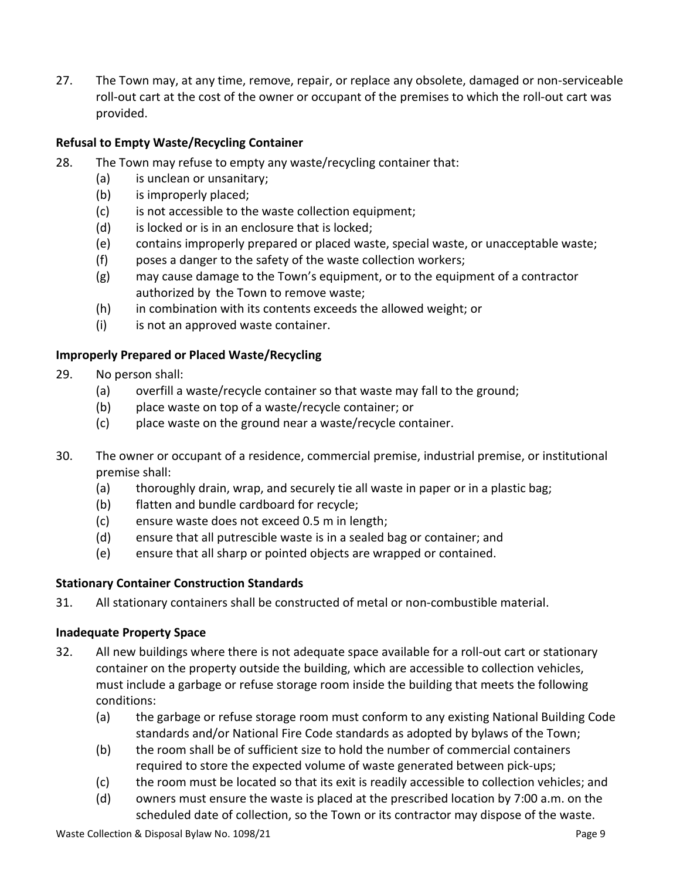27. The Town may, at any time, remove, repair, or replace any obsolete, damaged or non-serviceable roll-out cart at the cost of the owner or occupant of the premises to which the roll-out cart was provided.

# <span id="page-8-0"></span>**Refusal to Empty Waste/Recycling Container**

- 28. The Town may refuse to empty any waste/recycling container that:
	- (a) is unclean or unsanitary;
	- (b) is improperly placed;
	- (c) is not accessible to the waste collection equipment;
	- (d) is locked or is in an enclosure that is locked;
	- (e) contains improperly prepared or placed waste, special waste, or unacceptable waste;
	- (f) poses a danger to the safety of the waste collection workers;
	- (g) may cause damage to the Town's equipment, or to the equipment of a contractor authorized by the Town to remove waste;
	- (h) in combination with its contents exceeds the allowed weight; or
	- (i) is not an approved waste container.

# <span id="page-8-1"></span>**Improperly Prepared or Placed Waste/Recycling**

- 29. No person shall:
	- (a) overfill a waste/recycle container so that waste may fall to the ground;
	- (b) place waste on top of a waste/recycle container; or
	- (c) place waste on the ground near a waste/recycle container.
- 30. The owner or occupant of a residence, commercial premise, industrial premise, or institutional premise shall:
	- (a) thoroughly drain, wrap, and securely tie all waste in paper or in a plastic bag;
	- (b) flatten and bundle cardboard for recycle;
	- (c) ensure waste does not exceed 0.5 m in length;
	- (d) ensure that all putrescible waste is in a sealed bag or container; and
	- (e) ensure that all sharp or pointed objects are wrapped or contained.

# <span id="page-8-2"></span>**Stationary Container Construction Standards**

31. All stationary containers shall be constructed of metal or non-combustible material.

# <span id="page-8-3"></span>**Inadequate Property Space**

- 32. All new buildings where there is not adequate space available for a roll-out cart or stationary container on the property outside the building, which are accessible to collection vehicles, must include a garbage or refuse storage room inside the building that meets the following conditions:
	- (a) the garbage or refuse storage room must conform to any existing National Building Code standards and/or National Fire Code standards as adopted by bylaws of the Town;
	- (b) the room shall be of sufficient size to hold the number of commercial containers required to store the expected volume of waste generated between pick-ups;
	- (c) the room must be located so that its exit is readily accessible to collection vehicles; and
	- (d) owners must ensure the waste is placed at the prescribed location by 7:00 a.m. on the scheduled date of collection, so the Town or its contractor may dispose of the waste.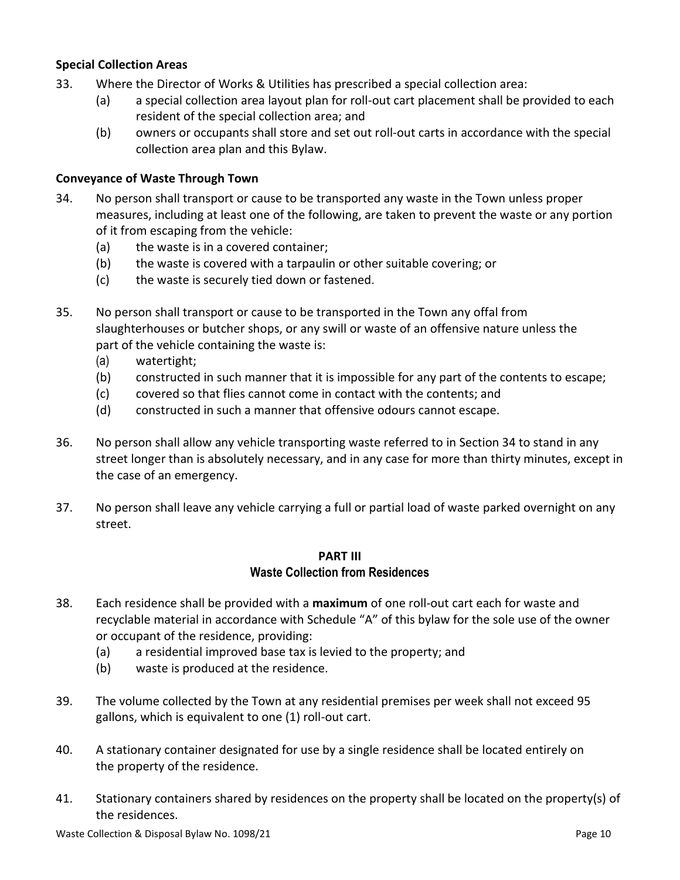### <span id="page-9-0"></span>**Special Collection Areas**

- 33. Where the Director of Works & Utilities has prescribed a special collection area:
	- (a) a special collection area layout plan for roll-out cart placement shall be provided to each resident of the special collection area; and
	- (b) owners or occupants shall store and set out roll-out carts in accordance with the special collection area plan and this Bylaw.

#### <span id="page-9-1"></span>**Conveyance of Waste Through Town**

- 34. No person shall transport or cause to be transported any waste in the Town unless proper measures, including at least one of the following, are taken to prevent the waste or any portion of it from escaping from the vehicle:
	- (a) the waste is in a covered container;
	- (b) the waste is covered with a tarpaulin or other suitable covering; or
	- (c) the waste is securely tied down or fastened.
- 35. No person shall transport or cause to be transported in the Town any offal from slaughterhouses or butcher shops, or any swill or waste of an offensive nature unless the part of the vehicle containing the waste is:
	- (a) watertight;
	- (b) constructed in such manner that it is impossible for any part of the contents to escape;
	- (c) covered so that flies cannot come in contact with the contents; and
	- (d) constructed in such a manner that offensive odours cannot escape.
- 36. No person shall allow any vehicle transporting waste referred to in Section 34 to stand in any street longer than is absolutely necessary, and in any case for more than thirty minutes, except in the case of an emergency.
- 37. No person shall leave any vehicle carrying a full or partial load of waste parked overnight on any street.

#### **PART III Waste Collection from Residences**

- <span id="page-9-2"></span>38. Each residence shall be provided with a **maximum** of one roll-out cart each for waste and recyclable material in accordance with Schedule "A" of this bylaw for the sole use of the owner or occupant of the residence, providing:
	- (a) a residential improved base tax is levied to the property; and
	- (b) waste is produced at the residence.
- 39. The volume collected by the Town at any residential premises per week shall not exceed 95 gallons, which is equivalent to one (1) roll-out cart.
- 40. A stationary container designated for use by a single residence shall be located entirely on the property of the residence.
- 41. Stationary containers shared by residences on the property shall be located on the property(s) of the residences.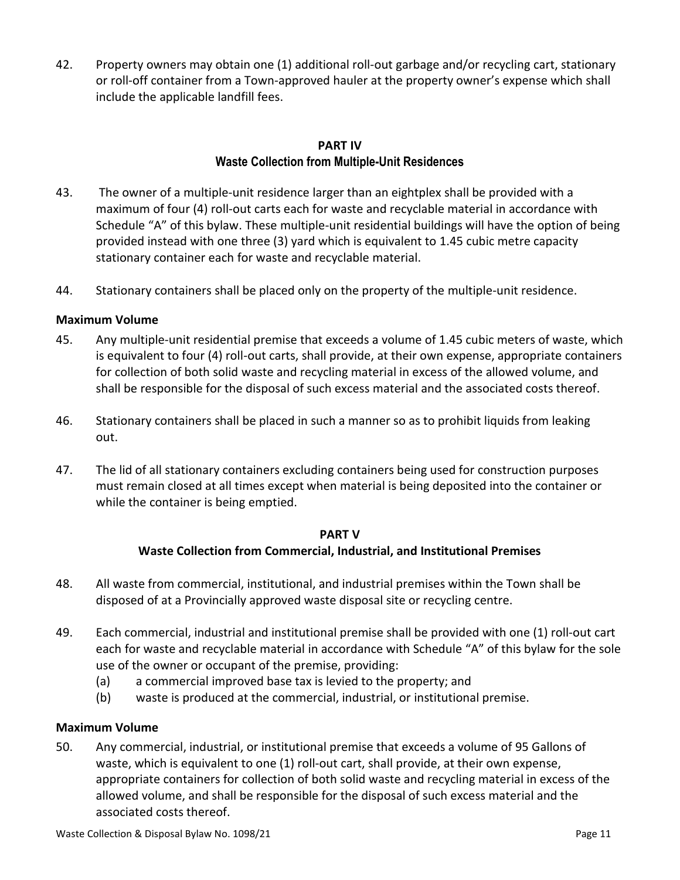42. Property owners may obtain one (1) additional roll-out garbage and/or recycling cart, stationary or roll-off container from a Town-approved hauler at the property owner's expense which shall include the applicable landfill fees.

### **PART IV Waste Collection from Multiple-Unit Residences**

- <span id="page-10-0"></span>43. The owner of a multiple-unit residence larger than an eightplex shall be provided with a maximum of four (4) roll-out carts each for waste and recyclable material in accordance with Schedule "A" of this bylaw. These multiple-unit residential buildings will have the option of being provided instead with one three (3) yard which is equivalent to 1.45 cubic metre capacity stationary container each for waste and recyclable material.
- 44. Stationary containers shall be placed only on the property of the multiple-unit residence.

### <span id="page-10-1"></span>**Maximum Volume**

- 45. Any multiple-unit residential premise that exceeds a volume of 1.45 cubic meters of waste, which is equivalent to four (4) roll-out carts, shall provide, at their own expense, appropriate containers for collection of both solid waste and recycling material in excess of the allowed volume, and shall be responsible for the disposal of such excess material and the associated costs thereof.
- 46. Stationary containers shall be placed in such a manner so as to prohibit liquids from leaking out.
- 47. The lid of all stationary containers excluding containers being used for construction purposes must remain closed at all times except when material is being deposited into the container or while the container is being emptied.

#### **PART V Waste Collection from Commercial, Industrial, and Institutional Premises**

- <span id="page-10-2"></span>48. All waste from commercial, institutional, and industrial premises within the Town shall be disposed of at a Provincially approved waste disposal site or recycling centre.
- 49. Each commercial, industrial and institutional premise shall be provided with one (1) roll-out cart each for waste and recyclable material in accordance with Schedule "A" of this bylaw for the sole use of the owner or occupant of the premise, providing:
	- (a) a commercial improved base tax is levied to the property; and
	- (b) waste is produced at the commercial, industrial, or institutional premise.

#### <span id="page-10-3"></span>**Maximum Volume**

50. Any commercial, industrial, or institutional premise that exceeds a volume of 95 Gallons of waste, which is equivalent to one (1) roll-out cart, shall provide, at their own expense, appropriate containers for collection of both solid waste and recycling material in excess of the allowed volume, and shall be responsible for the disposal of such excess material and the associated costs thereof.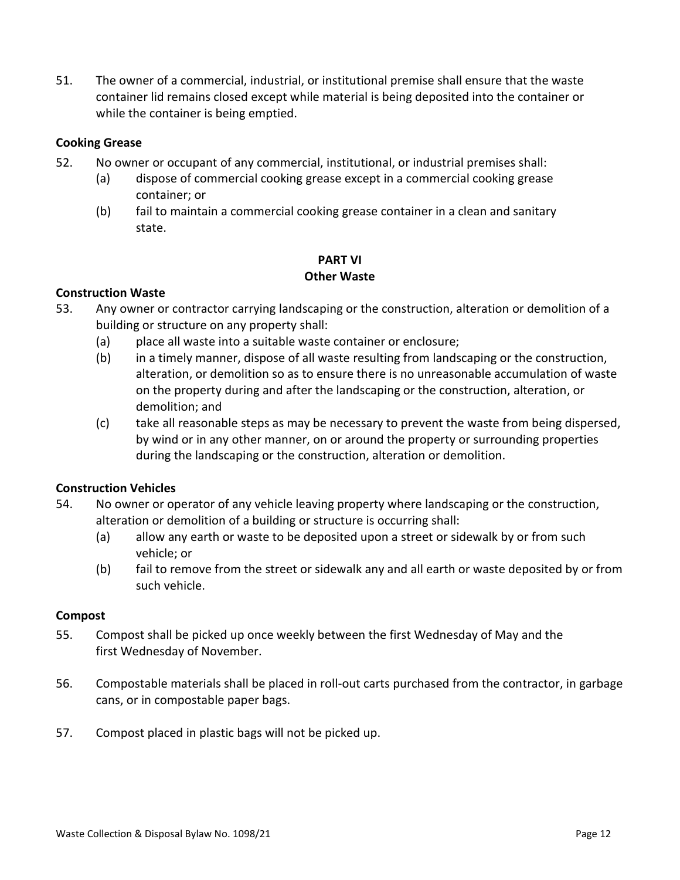51. The owner of a commercial, industrial, or institutional premise shall ensure that the waste container lid remains closed except while material is being deposited into the container or while the container is being emptied.

#### <span id="page-11-0"></span>**Cooking Grease**

- 52. No owner or occupant of any commercial, institutional, or industrial premises shall:
	- (a) dispose of commercial cooking grease except in a commercial cooking grease container; or
	- (b) fail to maintain a commercial cooking grease container in a clean and sanitary state.

#### **PART VI Other Waste**

### <span id="page-11-2"></span><span id="page-11-1"></span>**Construction Waste**

- 53. Any owner or contractor carrying landscaping or the construction, alteration or demolition of a building or structure on any property shall:
	- (a) place all waste into a suitable waste container or enclosure;
	- (b) in a timely manner, dispose of all waste resulting from landscaping or the construction, alteration, or demolition so as to ensure there is no unreasonable accumulation of waste on the property during and after the landscaping or the construction, alteration, or demolition; and
	- (c) take all reasonable steps as may be necessary to prevent the waste from being dispersed, by wind or in any other manner, on or around the property or surrounding properties during the landscaping or the construction, alteration or demolition.

# **Construction Vehicles**

- 54. No owner or operator of any vehicle leaving property where landscaping or the construction, alteration or demolition of a building or structure is occurring shall:
	- (a) allow any earth or waste to be deposited upon a street or sidewalk by or from such vehicle; or
	- (b) fail to remove from the street or sidewalk any and all earth or waste deposited by or from such vehicle.

#### <span id="page-11-3"></span>**Compost**

- 55. Compost shall be picked up once weekly between the first Wednesday of May and the first Wednesday of November.
- 56. Compostable materials shall be placed in roll-out carts purchased from the contractor, in garbage cans, or in compostable paper bags.
- 57. Compost placed in plastic bags will not be picked up.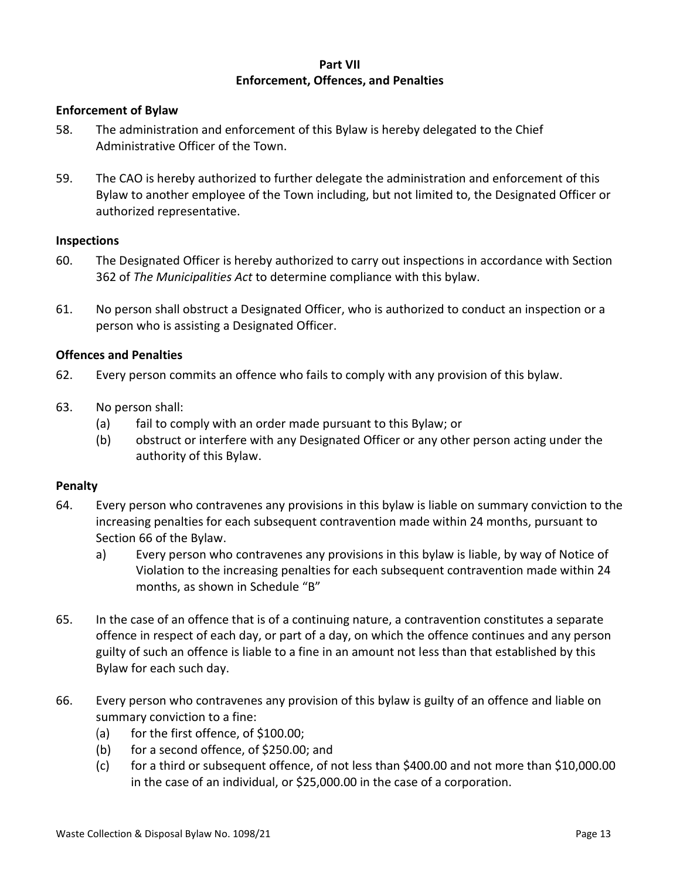#### **Part VII Enforcement, Offences, and Penalties**

#### <span id="page-12-1"></span><span id="page-12-0"></span>**Enforcement of Bylaw**

- 58. The administration and enforcement of this Bylaw is hereby delegated to the Chief Administrative Officer of the Town.
- 59. The CAO is hereby authorized to further delegate the administration and enforcement of this Bylaw to another employee of the Town including, but not limited to, the Designated Officer or authorized representative.

#### <span id="page-12-2"></span>**Inspections**

- 60. The Designated Officer is hereby authorized to carry out inspections in accordance with Section 362 of *The Municipalities Act* to determine compliance with this bylaw.
- 61. No person shall obstruct a Designated Officer, who is authorized to conduct an inspection or a person who is assisting a Designated Officer.

#### <span id="page-12-3"></span>**Offences and Penalties**

- 62. Every person commits an offence who fails to comply with any provision of this bylaw.
- 63. No person shall:
	- (a) fail to comply with an order made pursuant to this Bylaw; or
	- (b) obstruct or interfere with any Designated Officer or any other person acting under the authority of this Bylaw.

#### <span id="page-12-4"></span>**Penalty**

- 64. Every person who contravenes any provisions in this bylaw is liable on summary conviction to the increasing penalties for each subsequent contravention made within 24 months, pursuant to Section 66 of the Bylaw.
	- a) Every person who contravenes any provisions in this bylaw is liable, by way of Notice of Violation to the increasing penalties for each subsequent contravention made within 24 months, as shown in Schedule "B"
- 65. In the case of an offence that is of a continuing nature, a contravention constitutes a separate offence in respect of each day, or part of a day, on which the offence continues and any person guilty of such an offence is liable to a fine in an amount not less than that established by this Bylaw for each such day.
- 66. Every person who contravenes any provision of this bylaw is guilty of an offence and liable on summary conviction to a fine:
	- (a) for the first offence, of \$100.00;
	- (b) for a second offence, of \$250.00; and
	- (c) for a third or subsequent offence, of not less than \$400.00 and not more than \$10,000.00 in the case of an individual, or \$25,000.00 in the case of a corporation.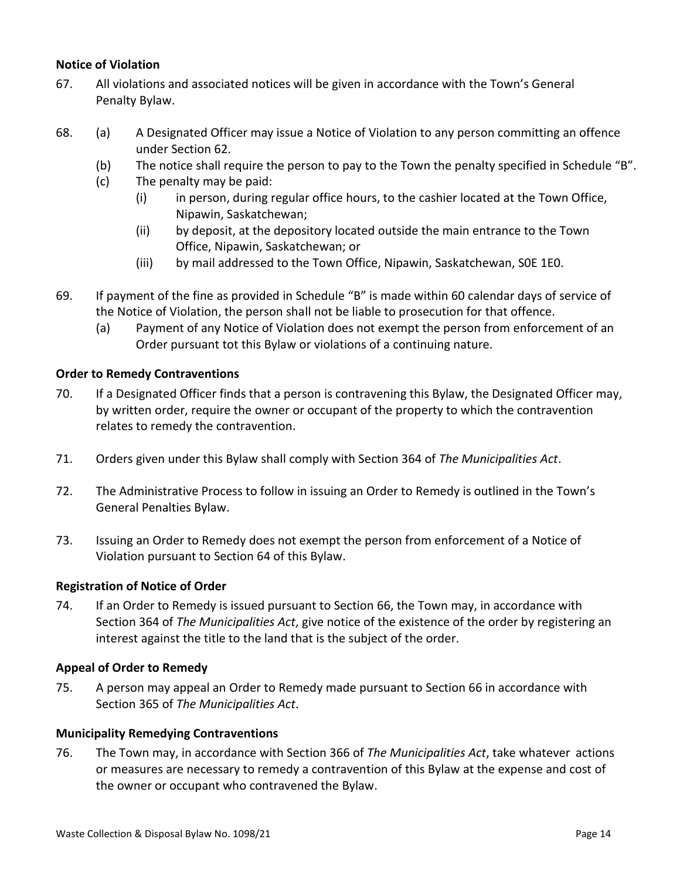#### <span id="page-13-0"></span>**Notice of Violation**

- 67. All violations and associated notices will be given in accordance with the Town's General Penalty Bylaw.
- 68. (a) A Designated Officer may issue a Notice of Violation to any person committing an offence under Section 62.
	- (b) The notice shall require the person to pay to the Town the penalty specified in Schedule "B".
	- (c) The penalty may be paid:
		- (i) in person, during regular office hours, to the cashier located at the Town Office, Nipawin, Saskatchewan;
		- (ii) by deposit, at the depository located outside the main entrance to the Town Office, Nipawin, Saskatchewan; or
		- (iii) by mail addressed to the Town Office, Nipawin, Saskatchewan, S0E 1E0.
- 69. If payment of the fine as provided in Schedule "B" is made within 60 calendar days of service of the Notice of Violation, the person shall not be liable to prosecution for that offence.
	- (a) Payment of any Notice of Violation does not exempt the person from enforcement of an Order pursuant tot this Bylaw or violations of a continuing nature.

#### <span id="page-13-1"></span>**Order to Remedy Contraventions**

- 70. If a Designated Officer finds that a person is contravening this Bylaw, the Designated Officer may, by written order, require the owner or occupant of the property to which the contravention relates to remedy the contravention.
- 71. Orders given under this Bylaw shall comply with Section 364 of *The Municipalities Act*.
- 72. The Administrative Process to follow in issuing an Order to Remedy is outlined in the Town's General Penalties Bylaw.
- 73. Issuing an Order to Remedy does not exempt the person from enforcement of a Notice of Violation pursuant to Section 64 of this Bylaw.

#### <span id="page-13-2"></span>**Registration of Notice of Order**

74. If an Order to Remedy is issued pursuant to Section 66, the Town may, in accordance with Section 364 of *The Municipalities Act*, give notice of the existence of the order by registering an interest against the title to the land that is the subject of the order.

#### <span id="page-13-3"></span>**Appeal of Order to Remedy**

75. A person may appeal an Order to Remedy made pursuant to Section 66 in accordance with Section 365 of *The Municipalities Act*.

#### <span id="page-13-4"></span>**Municipality Remedying Contraventions**

76. The Town may, in accordance with Section 366 of *The Municipalities Act*, take whatever actions or measures are necessary to remedy a contravention of this Bylaw at the expense and cost of the owner or occupant who contravened the Bylaw.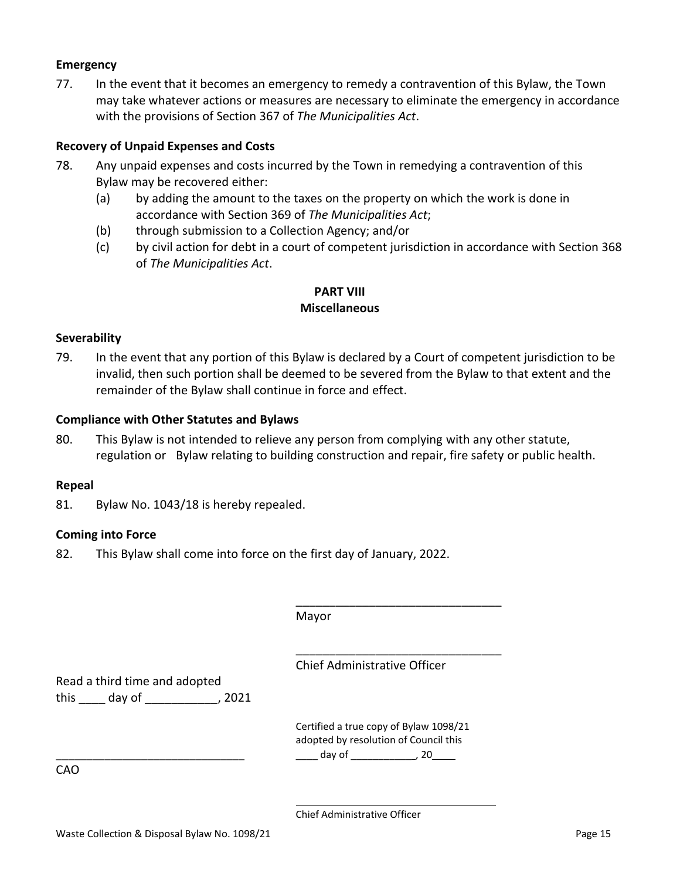#### <span id="page-14-0"></span>**Emergency**

77. In the event that it becomes an emergency to remedy a contravention of this Bylaw, the Town may take whatever actions or measures are necessary to eliminate the emergency in accordance with the provisions of Section 367 of *The Municipalities Act*.

#### <span id="page-14-1"></span>**Recovery of Unpaid Expenses and Costs**

- 78. Any unpaid expenses and costs incurred by the Town in remedying a contravention of this Bylaw may be recovered either:
	- (a) by adding the amount to the taxes on the property on which the work is done in accordance with Section 369 of *The Municipalities Act*;
	- (b) through submission to a Collection Agency; and/or
	- (c) by civil action for debt in a court of competent jurisdiction in accordance with Section 368 of *The Municipalities Act*.

#### **PART VIII Miscellaneous**

#### <span id="page-14-3"></span><span id="page-14-2"></span>**Severability**

79. In the event that any portion of this Bylaw is declared by a Court of competent jurisdiction to be invalid, then such portion shall be deemed to be severed from the Bylaw to that extent and the remainder of the Bylaw shall continue in force and effect.

#### <span id="page-14-4"></span>**Compliance with Other Statutes and Bylaws**

80. This Bylaw is not intended to relieve any person from complying with any other statute, regulation or Bylaw relating to building construction and repair, fire safety or public health.

#### <span id="page-14-5"></span>**Repeal**

<span id="page-14-6"></span>81. Bylaw No. 1043/18 is hereby repealed.

#### **Coming into Force**

82. This Bylaw shall come into force on the first day of January, 2022.

|                                                     | Mayor                                                                                                                                                                                                                          |
|-----------------------------------------------------|--------------------------------------------------------------------------------------------------------------------------------------------------------------------------------------------------------------------------------|
|                                                     | Chief Administrative Officer                                                                                                                                                                                                   |
| Read a third time and adopted<br>this day of , 2021 |                                                                                                                                                                                                                                |
|                                                     |                                                                                                                                                                                                                                |
|                                                     | Certified a true copy of Bylaw 1098/21<br>adopted by resolution of Council this                                                                                                                                                |
|                                                     | day of the second page of the second page of the second page of the second page of the second page of the second page of the second page of the second page of the second page of the second page of the second page of the se |
| CAO                                                 |                                                                                                                                                                                                                                |

Chief Administrative Officer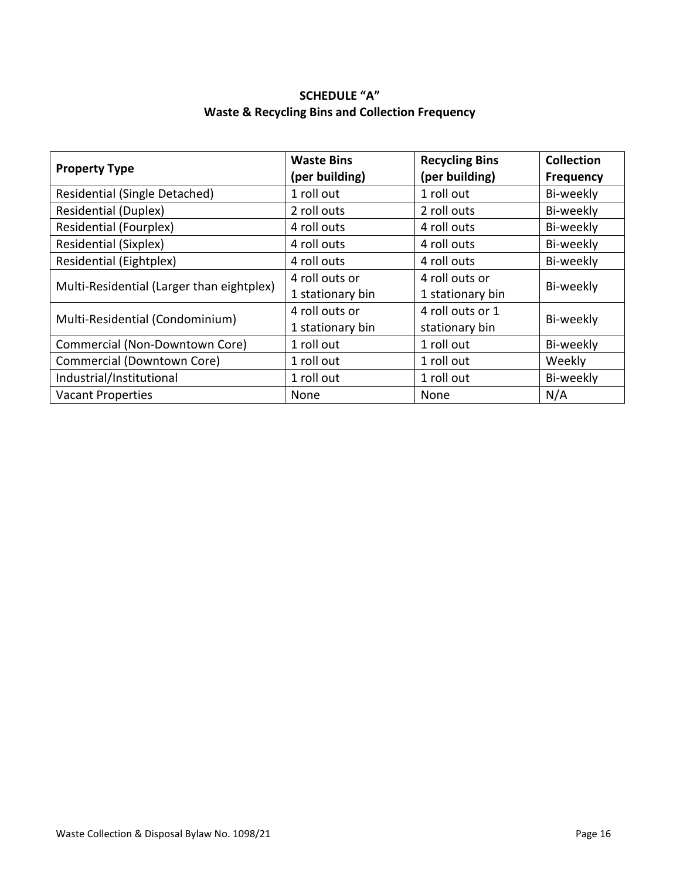# **SCHEDULE "A" Waste & Recycling Bins and Collection Frequency**

<span id="page-15-1"></span><span id="page-15-0"></span>

| <b>Property Type</b>                      | <b>Waste Bins</b><br>(per building) | <b>Recycling Bins</b><br>(per building) | <b>Collection</b><br><b>Frequency</b> |  |
|-------------------------------------------|-------------------------------------|-----------------------------------------|---------------------------------------|--|
| Residential (Single Detached)             | 1 roll out                          | 1 roll out                              | Bi-weekly                             |  |
| <b>Residential (Duplex)</b>               | 2 roll outs                         | 2 roll outs                             | Bi-weekly                             |  |
| <b>Residential (Fourplex)</b>             | 4 roll outs                         | 4 roll outs                             | Bi-weekly                             |  |
| <b>Residential (Sixplex)</b>              | 4 roll outs                         | 4 roll outs                             | Bi-weekly                             |  |
| <b>Residential (Eightplex)</b>            | 4 roll outs                         | 4 roll outs                             | Bi-weekly                             |  |
| Multi-Residential (Larger than eightplex) | 4 roll outs or                      | 4 roll outs or                          |                                       |  |
|                                           | 1 stationary bin                    | 1 stationary bin                        | Bi-weekly                             |  |
| Multi-Residential (Condominium)           | 4 roll outs or                      | 4 roll outs or 1                        | Bi-weekly                             |  |
|                                           | 1 stationary bin                    | stationary bin                          |                                       |  |
| Commercial (Non-Downtown Core)            | 1 roll out                          | 1 roll out                              | Bi-weekly                             |  |
| Commercial (Downtown Core)                | 1 roll out                          | 1 roll out                              | Weekly                                |  |
| Industrial/Institutional                  | 1 roll out                          | 1 roll out                              | Bi-weekly                             |  |
| <b>Vacant Properties</b>                  | None                                | None                                    | N/A                                   |  |